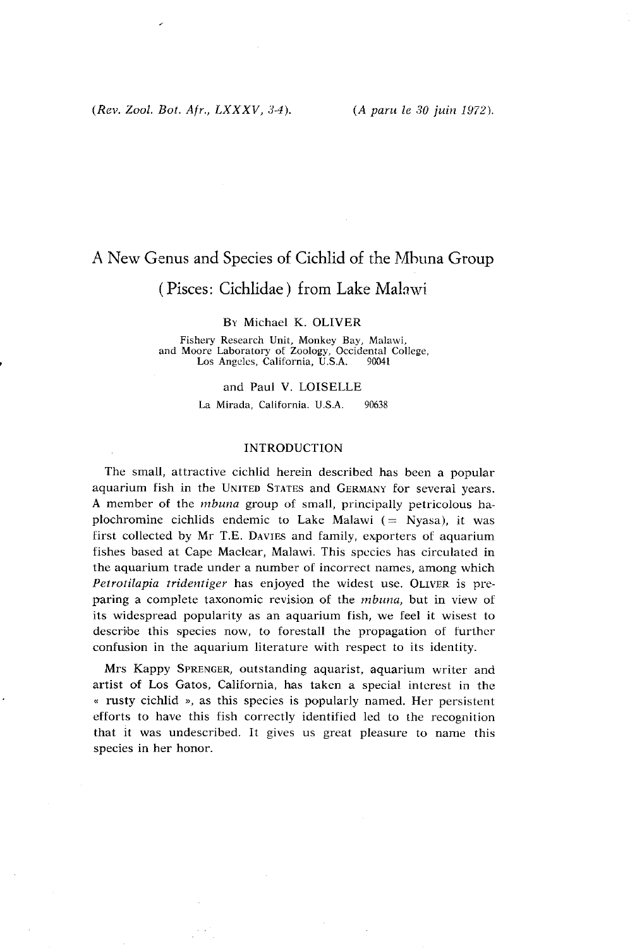# A New Genus and Species of Cichlid of the Mhuna Group

## ( Pisces: Cichlidae ) from Lake Malawi

#### BY Michael K. OLIVER

Fishery Research Unit, Monkey Bay, Malawi, and Moore Laboratory of Zoology, Occidental College, Los Angeles, California, U.S.A. 90041

#### and Paul V. LOISELLE

La Mirada. California. U.S.A. 90638

## INTRODUCTION

The small, attractive cichlid herein described has been a popular aquarium fish in the UNITED STATES and GERMANY for several years. **A** member of the *mbuna* group of small, principally petricolous haplochromine cichlids endemic to Lake Malawi  $($  = Nyasa), it was first collected by Mr T.E. DAVIES and family, exporters of aquarium fishes based at Cape Maclear, Malawi. This species has circulated in the aquarium trade under a number of incorrect names, among which *Petrotilapia tridentiger* has enjoyed the widest use. OLIVER is preparing a complete taxonomic revision of the *mbuna,* but in view of its widespread popularity as an aquarium fish, we feel it wisest to describe this species now, to forestall the propagation of further confusion in the aquarium literature with respect to its identity.

Mrs Kappy SPRENGER, outstanding aquarist, aquarium writer and artist of Los Gatos, California, has taken a special interest in the *<sup>a</sup>*rusty cichlid **r,** as this species is popularly named. Her persistent efforts to have this fish correctly identified led to the recognition that it was undescribed. It gives us great pleasure to name this species in her honor.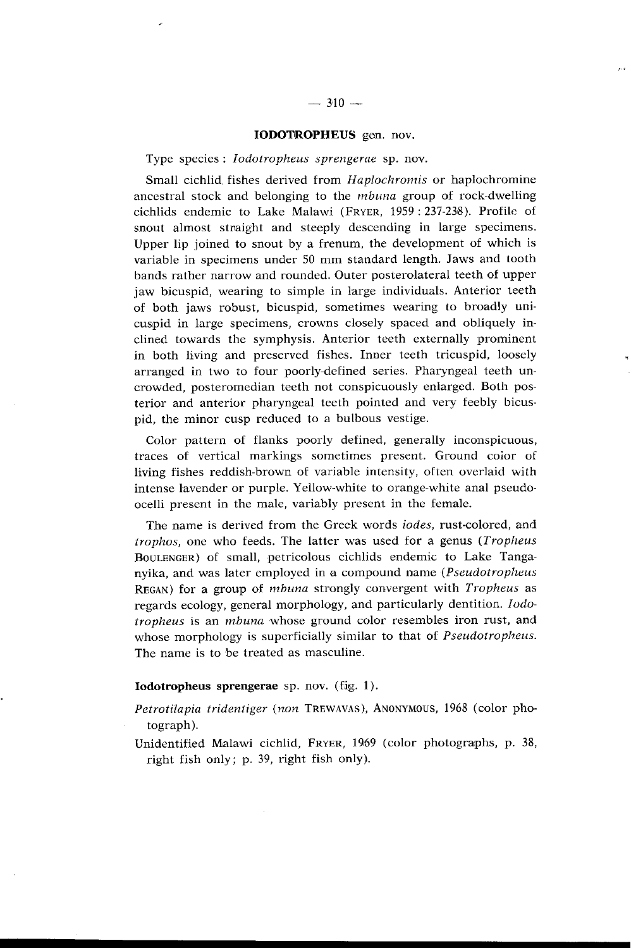#### **IODOTROPHEUS** gen. nov.

Type species : *Iodotropheus sprengerae* sp. nov.

Small cichlid fishes derived from *Haplochromis* or haplochromine ancestral stock and belonging to the *mbuna* group of rock-dwelling cichlids endemic to Lake Malawi (FRYER, 1959: 237-238). Profile of snout almost stnaight and steeply descending in large specimens. Upper lip joined to snout by a frenum, the development of which is variable in specimens under 50 mm standard length. Jaws and tooth bands rather narrow and rounded. Outer posterolateral teeth of upper jaw bicuspid, wearing to simple in Iarge individuals. Anterior teeth of both jaws robust, bicuspid, sometimes wearing to broadly unicuspid in large specimens, crowns closely spaced and obliquely inclined towards the symphysis. Anterior teeth externally prominent in both living and preserved fishes. Inner teeth tricuspid, loosely arranged in two to four poorly-defined series. Pharyngeal teeth uncrowded, posteromedian teeth not conspicuously enlargcd. Both posterior and anterior pharyngeal teeth pointed and very feebly bicuspid, the minor cusp reduced to a bulbous vestige.

Color pattern of flanks poorly defined, generally inconspicuous, traces of vertical markings sometimes present. Ground coior of living fishes reddish-brown of variable intensity, often overlaid with intense lavender or purple. Yellow-white to orange-white anal pseudoocelli present in the male, variably present in the female.

The name is derived from the Greek words *iodes,* rust-colored, and *trophos,* one who feeds. The latter was used for a genus *(Tropheus* BOULENGER) of small, petricolous cichlids endemic to Lake Tanganyika, and was later employed in a compound name *(Pseudotropheus*  REGAN) for a group of *tnbuna* strongly convergent with *Tropheus* as regards ecology, general morphology, and particularly dentition. *Iodorropheus* is an *tnbuna* whose ground color resembles iron rust, and whose morphology is superficially similar to that of *Pseudotropheus*. The name is to be treated as masculine.

## **Iodotropheus sprengerae** sp. nov. (fig. 1).

- Petrotilapia tridentiger (non TREWAVAS), ANONYMOUS, 1968 (color photograph).
- Unidentified Malawi cichlid, FRYER, 1969 (color photographs, p. 38, right fish only; p. 39, right fish only).

 $\sim$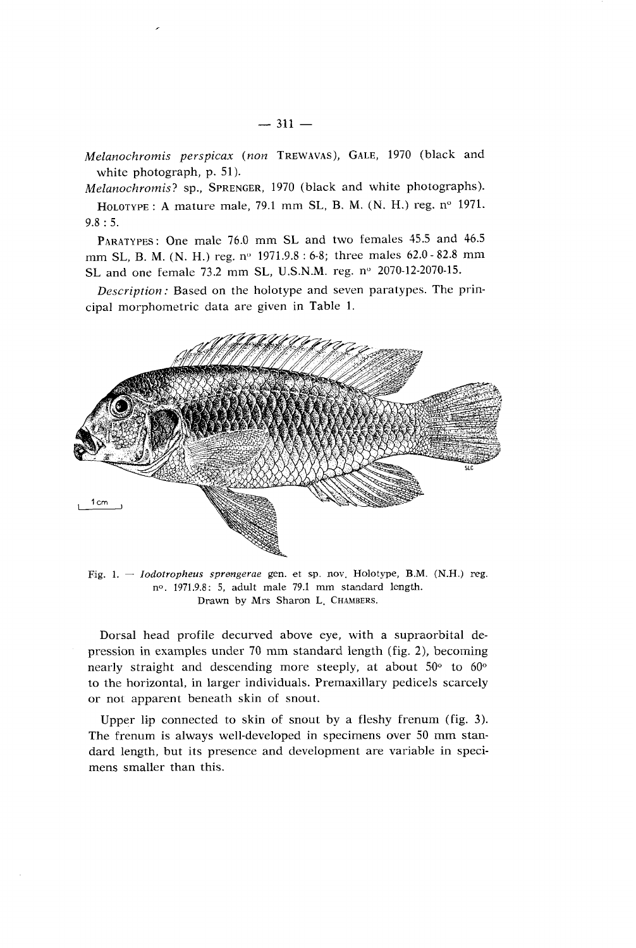Melanochromis perspicax (non TREWAVAS), GALE, 1970 (black and white photograph, p. 51).

Melanochromis? sp., SPRENGER, 1970 (black and white photographs).

HOLOTYPE: A mature male, 79.1 mm SL, B. M. (N. H.) reg. nº 1971. 9.8 : 5.

PARATYPES: One male 76.0 mm SL and two females 45.5 and 46.5 mm SL, B. M. (N. H.) reg. nº 1971.9.8 : 6-8; three males 62.0 - 82.8 mm SL and one female 73.2 mm SL, U.S.N.M. reg. nº 2070-12-2070-15.

Description: Based on the holotype and seven paratypes. The principal morphometric data are given in Table 1.



Fig. 1. - *Iodotropheus sprengerae* gen. et sp. nov. Holotype, B.M. (N.H.) reg. no. 1971.9.8: 5, adult male 79.1 mm standard length. Drawn by Mrs Sharon L. CHAMBERS.

Dorsal head profile decurved above eye, with a supraorbital depression in examples under 70 mm standard length (fig. 2), becoming nearly straight and descending more steeply, at about  $50^{\circ}$  to  $60^{\circ}$ to the horizontal, in larger individuals. Premaxillary pedicels scarcely or not apparent beneath skin of snout.

Upper lip connected to skin of snout by a fleshy frenum (fig. **3).**  The frenum is always well-developed in specimens over 50 mm standard length, but its presence and development are variable in specimens smaller than this.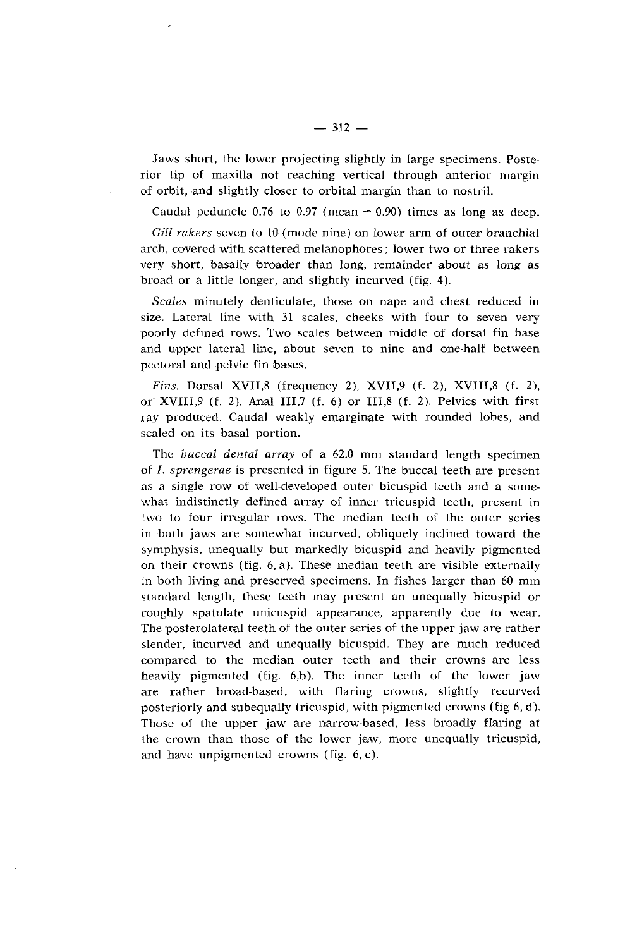Jaws short, the lower projecting slightly in large specimens. Posterior tip of maxilla not reaching vertioal through anterior margin of orbit, and slightly closer to orbital margin than to nostril.

Caudal peduncle 0.76 to 0.97 (mean  $= 0.90$ ) times as long as deep.

*Gill rukers* seven to 10 (mode nine) on lower arm of outer branchial arch, covered with scattered melanophores; lower two or three rakers very short, basally broader than long, remainder about as long as broad or a little longer, and slightly incurved (fig. 4).

*Scales* minutely denticulate, those on nape and chest reduced in size. Lateral line with 31 scales, cheeks with four to seven very poorly defined rows. Two scales between middle of dorsal fin base and upper lateral line, about seven to nine and one-half between pectoral and pelvic fin bases.

*Fins.* Dorsal XVII,8 (frequency 2), XVII.9 **(f.** 2), XVIII,8 (f. 2), or XVIII,9 (f. 2). Anal III,7 (f. *6)* or 111,s (f. 2). Pelvics with first ray produced. Caudal weakly emarginate with rounded lobes, and scaled on its basal portion.

The *buccal dental array* of a 62.0 mm standard length specimen of I. *spvengerae* is presented in figure 5. The buccal teeth are present as a single row of well-developed outer bicuspid teeth and a somewhat indistinctly defined array of inner tricuspid teeth, present in two to four irregular rows. The median teeth of the outer series in both jaws are somewhat incurved, obliquely inclined toward the symphysis, unequally but markedly bicuspid and heavily pigmented on their crowns (fig. *6,* a). These median teeth are visible externally in both living and preserved specimens. In fishes larger than 60 mm standard length, these teeth may present an unequally bicuspid or roughly spatulate unicuspid appearance, apparently due to wear. The posterolateral teeth of the outer series of the upper jaw are rather slender, incurved and unequally bicuspid. They are much reduced compared to the median outer teeth and their crowns are less heavily pigmented (fig.  $6,b$ ). The inner teeth of the lower jaw are rather broad-based, with flaring crowns, slightly recurved posteriorly and subequally tricuspid, with pigmented crowns (fig 6, d). Those of the upper jaw are narrow-based, less broadly flaring at the crown than those of the lower jaw, more unequally tricuspid, and have unpigmented crowns (fig. *6,* c).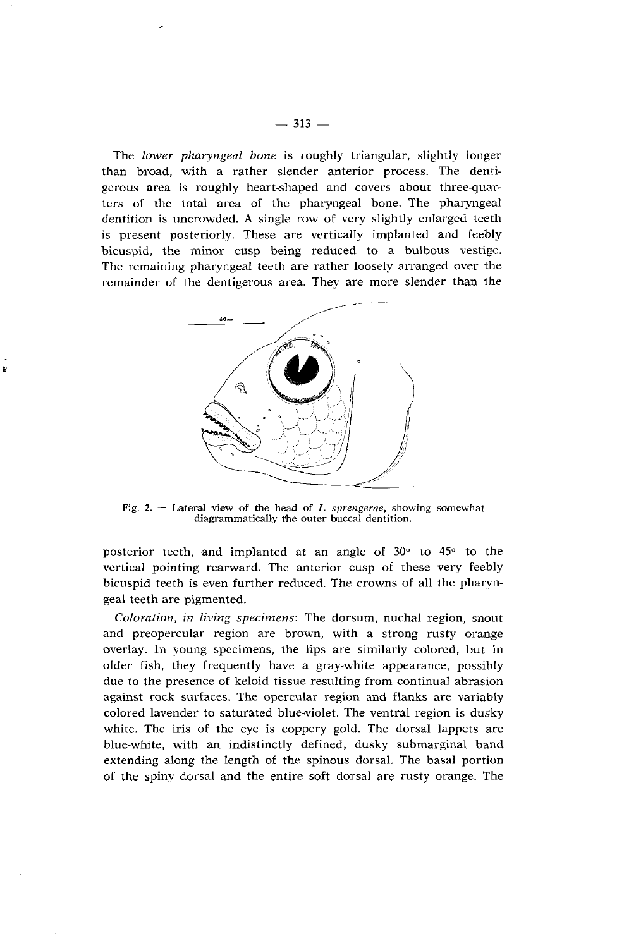The *lower pharyngeal bone* is roughly triangular, slightly longer than broad, with a rather slender anterior process. The dentigerous area is roughly heart-shaped and covers about three-quarters of the total area of the pharyngeal bone. The pharyngeal dentition is uncrowded. **A** single row of very slightly enlarged teeth is present posteriorly. These are vertically implanted and feebly bicuspid, the minor cusp being reduced to a bulbous vestige. The remaining pharyngeal teeth are rather loosely arranged over the remainder of the dentigerous area. They are more slender than the



Ł

Fig.  $2.$  – Lateral view of the head of *I. sprengerae*, showing somewhat diagrammatically rhe outer buccal dentition.

posterior teeth, and implanted at an angle of 30<sup>°</sup> to 45<sup>°</sup> to the vertical pointing rearward. The anterior cusp of these very feebly bicuspid teeth is even further reduced. The crowns of all the pharyngeal teeth are pigmented.

*Coloration, in living specimens:* The dorsum, nuchal region, snout and preopercular region are brown, with a strong rusty orange overlay. In young specimens, the lips are similarly colored, but in older fish, they frequently have a gray-white appearance, possibly due to the presence of keloid tissue resulting from continual abrasion against rock surfaces. The opercular region and flanks are variably colored lavender to saturated blue-violet. The ventral region is dusky white. The iris of the eye is coppery gold. The dorsal lappets are blue-white, with an indistinctly defined, dusky submarginal band extending along the length of the spinous dorsal. The basal portion of the spiny dorsal and the entire soft dorsal are rusty orange. The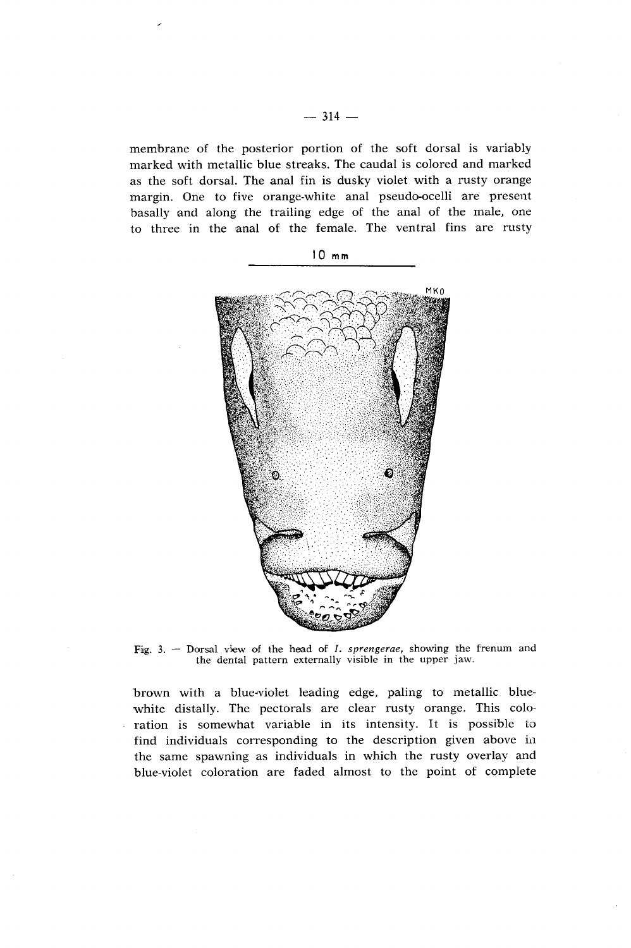memlbrane of the posterior portion of the soft dorsal is variably marked with metallic blue streaks. The caudal is colored and marked as the soft dorsal. The anal fin is dusky violet with a rusty orange margin. One to five orange-white anal pseudo-ocelli are present basally and along the trailing edge of the anal of the male, one to three in the anal of the female. The ventral fins are rusty





**Fig. 3.** - Dorsal view of the head of I. *sprengerae,* showing the frenum and the dental pattern externally visible in the upper jaw.

brown with a blue-violet leading edge, paling to metallic bluewhite distally. The pectorals are clear rusty orange. This coloration is somewhat variable in its intensity. It is possible to find individuals corresponding to the description given above in the same spawning as individuals in which the rusty overlay and blue-violet coloration are faded almost to the point of complete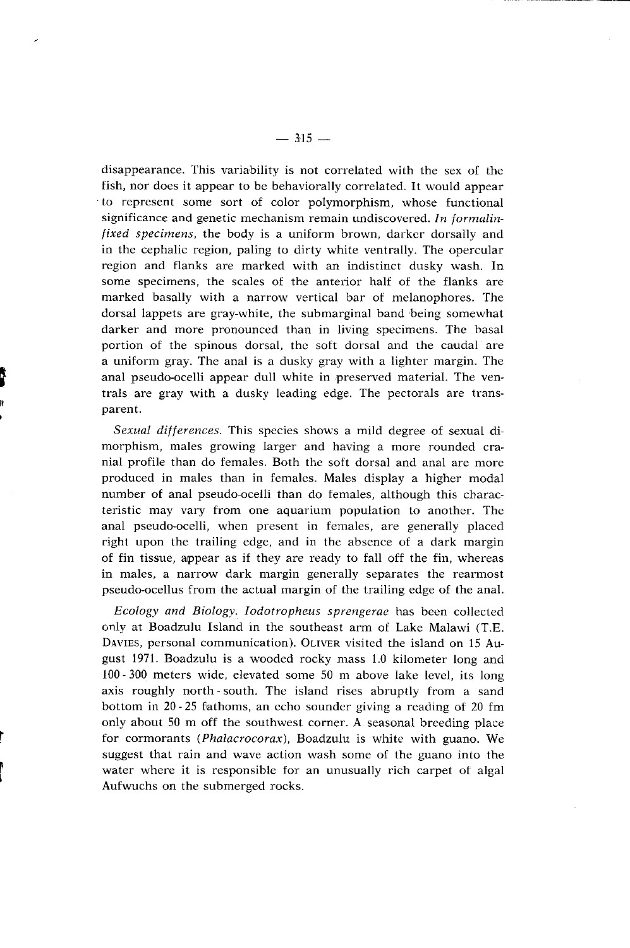disappearance. This variability is not correlated with the sex of the fish, nor does it appear to be behaviorally correlated. It would appear to represent some sort of color polymorphism, whose functional significance and genetic mechanism remain undiscovered. *In formalinfixed specimens,* the body is a uniform brown, darker dorsally and in the cephalic region, paling to dirty white ventrally. The opercular region and flanks are marked with an indistinct dusky wash. In some specimens, the scales of the anterior half of the flanks are marked basally with a narrow vertical bar of melanophores. The dorsal lappets are gray-white, the submarginal band being somewhat darker and more pronounced than in living specimens. The basal portion of the spinous dorsal, the soft dorsal and the caudal are a uniform gray. The anal is a dusky gray with a lighter margin. The anal pseudo-ocelli appear dull white in preserved material. The ventrals are gray with a dusky leading edge. The pectorals are transparent.

*Sexual differences.* This species shows a mild degree of sexual dimorphism, males growing larger and having a more rounded cranial profile than do females. Both the soft dorsal and anal are niore produced in males than in females. Males display a higher modal number of anal pseudo-ocelli than do females, although this characteristic may vary from one aquarium population to another. The anal pseudo-ocelli, when present in females, are generally placed right upon the trailing edge, and in the absence of a dark margin of fin tissue, appear as if they are ready to fall off the fin, whereas in males, a narrow dark margin generally separates the rearmost pseudo-ocellus from the actual margin of the trailing edge of the anal.

*Ecology and Biology. Iodotropheus sprengerae* has been collected only at Boadzulu Island in the southeast arm of Lake Malawi (T.E. **DAVIES,** personal communication). OLIVER visited the island on 15 August 1971. Boadzulu is a wooded rocky mass 1.0 kilometer long and 100 - SO0 meters wide, elevated some 50 m above lake level, its long axis roughly north-south. The island rises abruptly from a sand bottom in 20 - 25 fathoms, an echo sounder giving a reading of 20 fm only about 50 m off the southwest corner. A seasonal breeding place for cormorants *(Phalacrocorax),* Boadzulu is white with guano. We suggest that rain and wave action wash some of the guano inlo the water where it is responsible for an unusually rich carpet of algal Aufwuchs on the submerged rocks.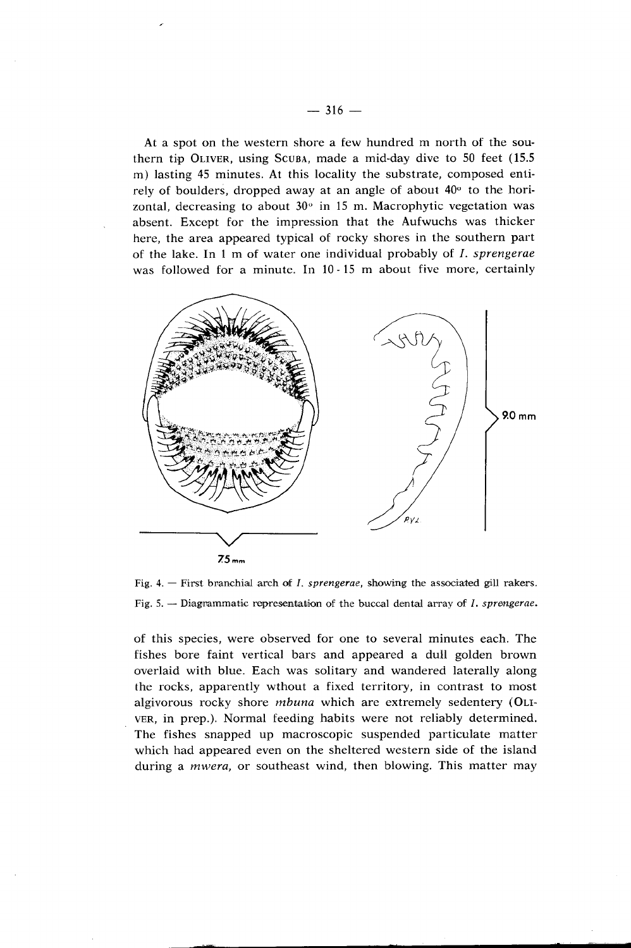At a spot on the western shore a few hundred m north of the southern tip OLIVER, using SCUBA, made a mid-day dive to 50 feet (15.5 m) lasting 45 minutes. At this locality the substrate, composed entirely of boulders, dropped away at an angle of about  $40^{\circ}$  to the horizontal, decreasing to about  $30^\circ$  in 15 m. Macrophytic vegetation was absent. Except for the impression that the Aufwuchs was thicker here, the area appeared typical of rocky shores in the southern part of the lake. In 1 m of water one individual probably of I. *sprengerae*  was followed for a minute. In 10-15 m about five more, certainly



Fig. 5. -- Diagnammatic representation of the buccal dental array of *I. sprengerae.* 

of this species, were observed for one to several minutes each. The fishes bore faint vertical bars and appeared a dull golden brown overlaid with blue. Each was solitary and wandered laterally along the rocks, apparently wthout a fixed territory, in contrast to most algivorous rocky shore *mbuna* which are extremely sedentery (OLI-VER, in prep.). Normal feeding habits were not reliably determined. The fishes snapped up macroscopic suspended particulate matter which had appeared even on the sheltered western side of the island during a *mwera,* or southeast wind, then blowing. This matter may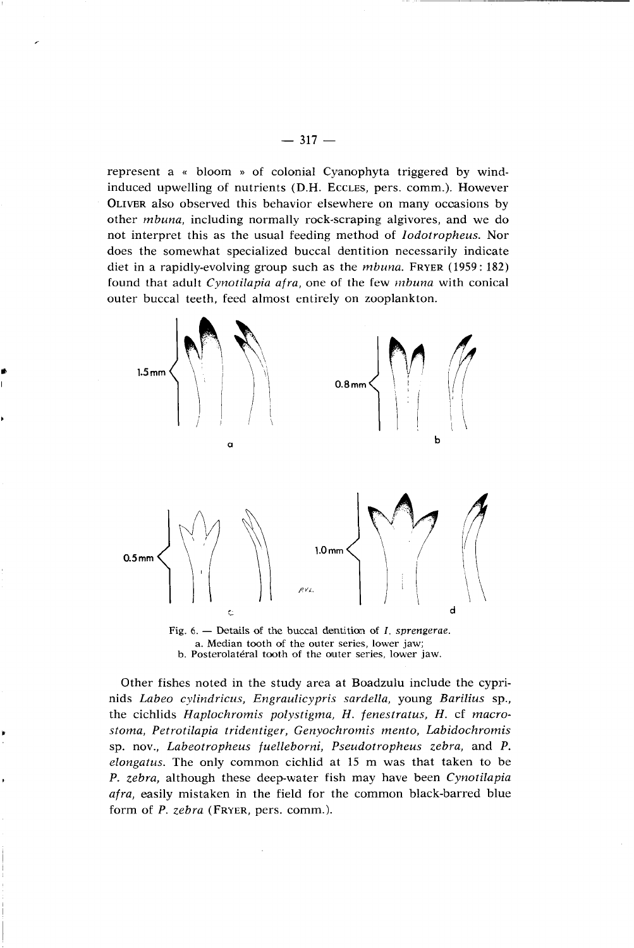represent a **a** bloom **x** of colonial Cyanophyta triggered by windinduced upwelling of nutrients (D.H. ECCLES, pers. comm.). However OLIVBR also observed this behavior elsewhere on many ocoasions by other *mbuna,* including normally rock-scraping algivores, and we do not interpret this as the usual feeding method of *Iodotropheus.* Nor does the somewhat specialized buccal dentition necessarily indicate diet in a rapidly-evolving group such as the *mbuna.* FRYER (1959 : 182) found that adult *Cynotilapia afra*, one of the few *mbuna* with conical outer buccal teeth, feed almost entirely on zooplankton.



a. Median tooth of the outer series, lower jaw; b. Posterolatéral tooth of the outer series, lower jaw.

Other fishes noted in the study area at Boadzulu include the cyprinids *Labeo cylindricus, Engraulicypris sardella,* young *Barilius* sp., the cichlids *Haplochromis polystigma, H. fenestratus, H.* cf *macrostoma, Petrotilapia tridentiger, Genyochromis mento, Labidochromis*  sp. nov., *Labeotropheus fuelleborni, Pseudotropheus zebra,* and *P. elongatus.* The only common cichlid at 15 m was that taken to be P. *zebra,* although these deep-water fish may have been *Cynotilapia afra,* easily mistaken in the field for the common black-barred blue form of *P. zebra* (FRYER, pers. comm.).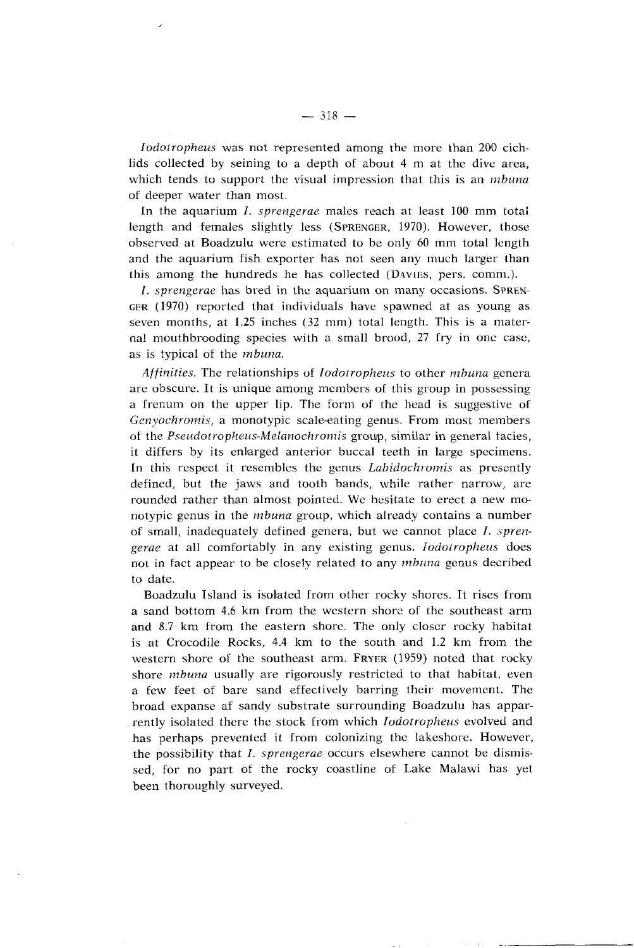Iodolropheus was not represented among the more than 200 cichlids collected by seining to a depth of about 4 m at the dive area, which tends to support the visual impression that this is an *mbuna* of deeper water than most.

In the aquarium  $I.$  sprengerae males reach at least 100 mm total length and females slightly less (SPRENGER, 1970). However, those observed at Boadzulu were estimated to be only 60 mm total length and the aquarium fish exporter has not seen any much larger than this among the hundreds he has collected (DAVIES, pers. comm.).

I. sprengerae has bred in the aquarium on many occasions. SPREN-GER (1970) reported that individuals have spawned at as young as seven months, at 1.25 inches (32 mm) total length. This is a maternal mouthbrooding species with a small brood, 27 fry in one case, as is typical of the *mbuna*.

Affinities. The relationships of *Iodotropheus* to other *mbuna* genera are obscure. It is unique among members of this group in possessing a frenum on the upper lip. The form of the head is suggestive of Genyochromis, a monotypic scale-eating genus. From most members of the **Pseudotropheus-Melanockronlis** group, similar in general tacies, it differs by its enlarged anterior buccal teeth in large specimens. In this respect it resembles the genus *Labidochromis* as presently defined, but the jaws and tooth bands, while rather narrow, are rounded rather than almost pointed. Wc hesitate to erect a new monotypic genus in the *mbuna* group, which already contains a number of small, inadequately defined genera, but we cannot place  $I$ . sprengerae at all comfortably in any existing genus. Iodotropheus does not in fact appear to be closely related to any *mbuna* genus decribed to date.

Boadzulu Island is isolated from other rocky shores. It rises from a sand bottom 4.6 km from the western shore of the southeast arm and 8.7 km from the eastern shore. The only closcr rocky habitat is at Crocodile Rocks, 4.4 km to the south and 1.2 km from the western shore of the southeast arm. FRYER (1959) noted that rocky shore mbuna usually are rigorously restricted to that habitat, even a few feet of bare sand effectively barring their movement. The broad expanse af sandy substrate surrounding Boadzulu has apparrently isolated there the stock from which *Iodotropheus* evolved and has perhaps prevented it from colonizing the lakeshore. However, the possibility that *I. sprengerae* occurs elsewhere cannot be dismissed, for no part of the rocky coastline of Lake Malawi has yet been thoroughly surveyed.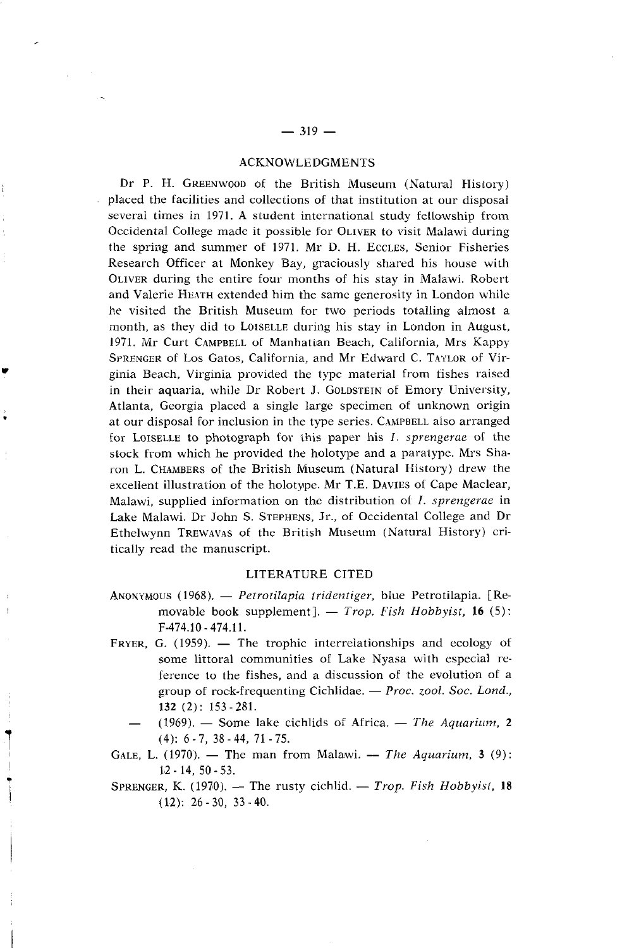### ACKNOWLEDGMENTS

Dr P. H. GREENWOOD of the British Museum (Natural History) placed the facilities and collections of that institution at our disposal several times in 1971. A student international study fellowship from Occidental College made it possible for OLIVER to visit Malawi during the spring and summer of 1971. Mr D. H. EccLES, Senior Fisheries Research Officer at Monkey Bay, graciously shared his house with OLIVER during the entire four months of his stay in 1Malawi. Robert and Valerie HEATH extended him the same generosity in London while he visited the British Museum for two periods totalling almost a month, as they did to LOISELLE during his stay in London in August, 1971. Mr Curt CAMPBELL of Manhatian Beach, California, Mrs Kappy SPRENGER of Los Gatos, California, and Mr Edward C. TAYLOR of Virginia Beach, Virginia provided the type material from fishes raised in their aquaria, while Dr Robert J. GOLDSTEIN of Emory University, Atlanta, Georgia placed a single large specimen of unknown origin at our disposal for inclusion in the type series. CAMPBELL also arranged for LOISELLE to photognaph for this paper his I. *sprengerue* of the stock from which he provided the holotype and a paratype. Mrs Sharon L. CHAMBERS of the British Museum (Natural History) drew the excellent illustration of the holotype. Mr T.E. DAVIES of Cape Maclear, Malawi, supplied information on the distribution of I. *sprengerae* in Lake Malawi. Dr John S. STEPHENS, Jr., of Occidental College and Dr Ethelwynn TREWAVAS of the British Museum (Natural History) critically read the manuscript.

### LITERATURE CITED

- LITERATURE CITED<br>ANONYMOUS (1968). *Petrotilapia tridentiger*, blue Petrotilapia. [Reus (1968). — *Petrotilapia tridentiger*, blue Petrotilapia. [Removable book supplement]. — *Trop. Fish Hobbyist*, 16 (5): F-474.10-474.11. movable book supplement].  $-$  *Trop. Fish Hobbyist*, **16** (5):<br>F-474.10 - 474.11.<br>FRYER, G. (1959).  $-$  The trophic interrelationships and ecology of
- some littoral communities of Lake Nyasa with especial reference to the fishes, and a discussion of the evolution of a group of rock-frequenting Cichlidae. - *Proc. zool. Soc. Lond.*, **132** (2) : 153 - 281. group of rock-frequenting Cichlidae. - *Proc. zool. Soc. Lond.*, **132** (2): 153 - 281.<br>(1969). - Some lake cichlids of Africa. - *The Aquarium*, **2** 
	- $(4): 6 7, 38 44, 71 75.$

GALE, L. (1970). — The man from Malawi. — The Aquarium, 3 (9): 182 - 14, 50 - 53.

SPRENGER, K. (1970). - The rusty cichlid. - *Trop. Fish Hobbyist*, 18  $(12): 26 - 30, 33 - 40.$